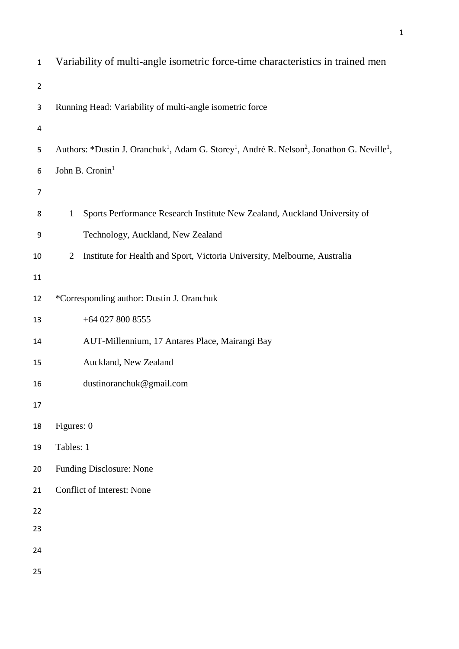| $\mathbf 1$    | Variability of multi-angle isometric force-time characteristics in trained men                                                              |
|----------------|---------------------------------------------------------------------------------------------------------------------------------------------|
| $\overline{2}$ |                                                                                                                                             |
| 3              | Running Head: Variability of multi-angle isometric force                                                                                    |
| 4              |                                                                                                                                             |
| 5              | Authors: *Dustin J. Oranchuk <sup>1</sup> , Adam G. Storey <sup>1</sup> , André R. Nelson <sup>2</sup> , Jonathon G. Neville <sup>1</sup> , |
| 6              | John B. Cronin <sup>1</sup>                                                                                                                 |
| $\overline{7}$ |                                                                                                                                             |
| 8              | Sports Performance Research Institute New Zealand, Auckland University of<br>$\mathbf{1}$                                                   |
| 9              | Technology, Auckland, New Zealand                                                                                                           |
| $10\,$         | Institute for Health and Sport, Victoria University, Melbourne, Australia<br>2                                                              |
| 11             |                                                                                                                                             |
| 12             | *Corresponding author: Dustin J. Oranchuk                                                                                                   |
| 13             | $+64$ 027 800 8555                                                                                                                          |
| 14             | AUT-Millennium, 17 Antares Place, Mairangi Bay                                                                                              |
| 15             | Auckland, New Zealand                                                                                                                       |
| 16             | dustinoranchuk@gmail.com                                                                                                                    |
| 17             |                                                                                                                                             |
| 18             | Figures: 0                                                                                                                                  |
| 19             | Tables: 1                                                                                                                                   |
| 20             | <b>Funding Disclosure: None</b>                                                                                                             |
| 21             | Conflict of Interest: None                                                                                                                  |
| 22             |                                                                                                                                             |
| 23             |                                                                                                                                             |
| 24             |                                                                                                                                             |
| 25             |                                                                                                                                             |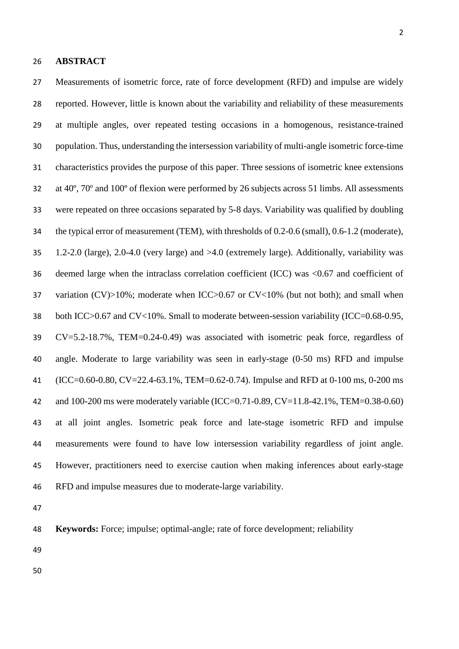## **ABSTRACT**

 Measurements of isometric force, rate of force development (RFD) and impulse are widely reported. However, little is known about the variability and reliability of these measurements at multiple angles, over repeated testing occasions in a homogenous, resistance-trained population. Thus, understanding the intersession variability of multi-angle isometric force-time characteristics provides the purpose of this paper. Three sessions of isometric knee extensions at 40º, 70º and 100º of flexion were performed by 26 subjects across 51 limbs. All assessments were repeated on three occasions separated by 5-8 days. Variability was qualified by doubling the typical error of measurement (TEM), with thresholds of 0.2-0.6 (small), 0.6-1.2 (moderate), 1.2-2.0 (large), 2.0-4.0 (very large) and >4.0 (extremely large). Additionally, variability was deemed large when the intraclass correlation coefficient (ICC) was <0.67 and coefficient of 37 variation (CV)>10%; moderate when ICC>0.67 or CV<10% (but not both); and small when both ICC>0.67 and CV<10%. Small to moderate between-session variability (ICC=0.68-0.95, CV=5.2-18.7%, TEM=0.24-0.49) was associated with isometric peak force, regardless of angle. Moderate to large variability was seen in early-stage (0-50 ms) RFD and impulse (ICC=0.60-0.80, CV=22.4-63.1%, TEM=0.62-0.74). Impulse and RFD at 0-100 ms, 0-200 ms and 100-200 ms were moderately variable (ICC=0.71-0.89, CV=11.8-42.1%, TEM=0.38-0.60) at all joint angles. Isometric peak force and late-stage isometric RFD and impulse measurements were found to have low intersession variability regardless of joint angle. However, practitioners need to exercise caution when making inferences about early-stage RFD and impulse measures due to moderate-large variability.

| 48 |  |  | <b>Keywords:</b> Force; impulse; optimal-angle; rate of force development; reliability |
|----|--|--|----------------------------------------------------------------------------------------|
|    |  |  |                                                                                        |

- 
-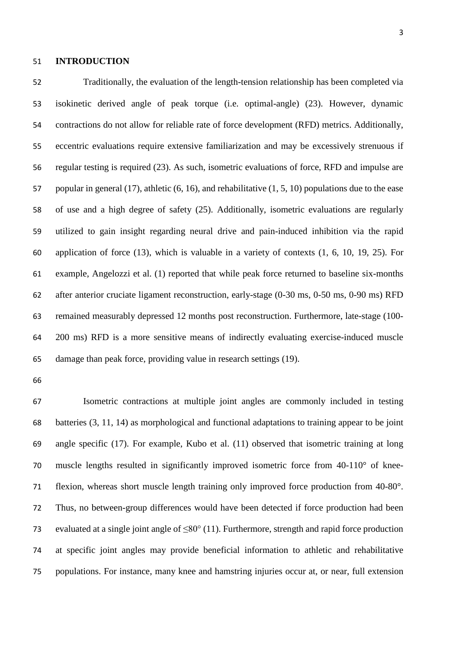#### **INTRODUCTION**

 Traditionally, the evaluation of the length-tension relationship has been completed via isokinetic derived angle of peak torque (i.e. optimal-angle) (23). However, dynamic contractions do not allow for reliable rate of force development (RFD) metrics. Additionally, eccentric evaluations require extensive familiarization and may be excessively strenuous if regular testing is required (23). As such, isometric evaluations of force, RFD and impulse are popular in general (17), athletic (6, 16), and rehabilitative (1, 5, 10) populations due to the ease of use and a high degree of safety (25). Additionally, isometric evaluations are regularly utilized to gain insight regarding neural drive and pain-induced inhibition via the rapid application of force (13), which is valuable in a variety of contexts (1, 6, 10, 19, 25). For example, Angelozzi et al. (1) reported that while peak force returned to baseline six-months after anterior cruciate ligament reconstruction, early-stage (0-30 ms, 0-50 ms, 0-90 ms) RFD remained measurably depressed 12 months post reconstruction. Furthermore, late-stage (100- 200 ms) RFD is a more sensitive means of indirectly evaluating exercise-induced muscle damage than peak force, providing value in research settings (19).

 Isometric contractions at multiple joint angles are commonly included in testing batteries (3, 11, 14) as morphological and functional adaptations to training appear to be joint angle specific (17). For example, Kubo et al. (11) observed that isometric training at long muscle lengths resulted in significantly improved isometric force from 40-110° of knee- flexion, whereas short muscle length training only improved force production from 40-80°. Thus, no between-group differences would have been detected if force production had been evaluated at a single joint angle of ≤80° (11). Furthermore, strength and rapid force production at specific joint angles may provide beneficial information to athletic and rehabilitative populations. For instance, many knee and hamstring injuries occur at, or near, full extension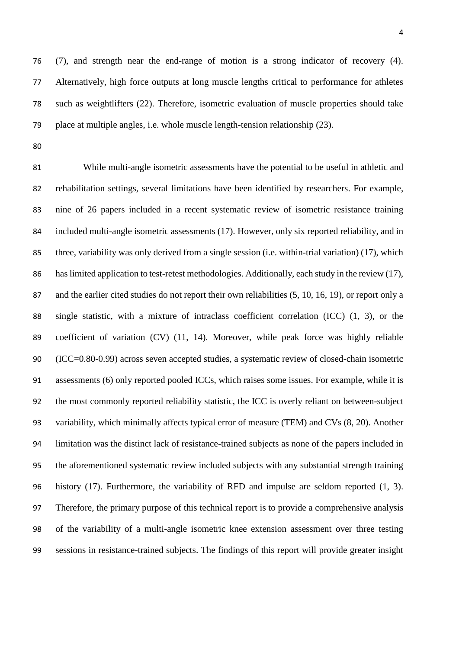(7), and strength near the end-range of motion is a strong indicator of recovery (4). Alternatively, high force outputs at long muscle lengths critical to performance for athletes such as weightlifters (22). Therefore, isometric evaluation of muscle properties should take place at multiple angles, i.e. whole muscle length-tension relationship (23).

 While multi-angle isometric assessments have the potential to be useful in athletic and rehabilitation settings, several limitations have been identified by researchers. For example, nine of 26 papers included in a recent systematic review of isometric resistance training included multi-angle isometric assessments (17). However, only six reported reliability, and in three, variability was only derived from a single session (i.e. within-trial variation) (17), which 86 has limited application to test-retest methodologies. Additionally, each study in the review (17), and the earlier cited studies do not report their own reliabilities (5, 10, 16, 19), or report only a single statistic, with a mixture of intraclass coefficient correlation (ICC) (1, 3), or the coefficient of variation (CV) (11, 14). Moreover, while peak force was highly reliable (ICC=0.80-0.99) across seven accepted studies, a systematic review of closed-chain isometric assessments (6) only reported pooled ICCs, which raises some issues. For example, while it is the most commonly reported reliability statistic, the ICC is overly reliant on between-subject variability, which minimally affects typical error of measure (TEM) and CVs (8, 20). Another limitation was the distinct lack of resistance-trained subjects as none of the papers included in the aforementioned systematic review included subjects with any substantial strength training history (17). Furthermore, the variability of RFD and impulse are seldom reported (1, 3). Therefore, the primary purpose of this technical report is to provide a comprehensive analysis of the variability of a multi-angle isometric knee extension assessment over three testing sessions in resistance-trained subjects. The findings of this report will provide greater insight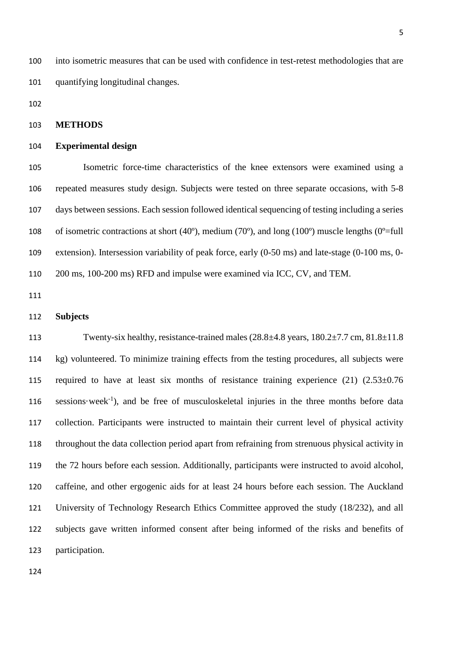into isometric measures that can be used with confidence in test-retest methodologies that are quantifying longitudinal changes.

# **METHODS**

### **Experimental design**

 Isometric force-time characteristics of the knee extensors were examined using a repeated measures study design. Subjects were tested on three separate occasions, with 5-8 days between sessions. Each session followed identical sequencing of testing including a series 108 of isometric contractions at short (40 $^{\circ}$ ), medium (70 $^{\circ}$ ), and long (100 $^{\circ}$ ) muscle lengths (0 $^{\circ}$ =full extension). Intersession variability of peak force, early (0-50 ms) and late-stage (0-100 ms, 0- 200 ms, 100-200 ms) RFD and impulse were examined via ICC, CV, and TEM.

# **Subjects**

113 Twenty-six healthy, resistance-trained males (28.8 $\pm$ 4.8 years, 180.2 $\pm$ 7.7 cm, 81.8 $\pm$ 11.8 kg) volunteered. To minimize training effects from the testing procedures, all subjects were 115 required to have at least six months of resistance training experience  $(21)$   $(2.53\pm0.76)$ 116 sessions·week<sup>-1</sup>), and be free of musculoskeletal injuries in the three months before data collection. Participants were instructed to maintain their current level of physical activity throughout the data collection period apart from refraining from strenuous physical activity in the 72 hours before each session. Additionally, participants were instructed to avoid alcohol, caffeine, and other ergogenic aids for at least 24 hours before each session. The Auckland University of Technology Research Ethics Committee approved the study (18/232), and all subjects gave written informed consent after being informed of the risks and benefits of participation.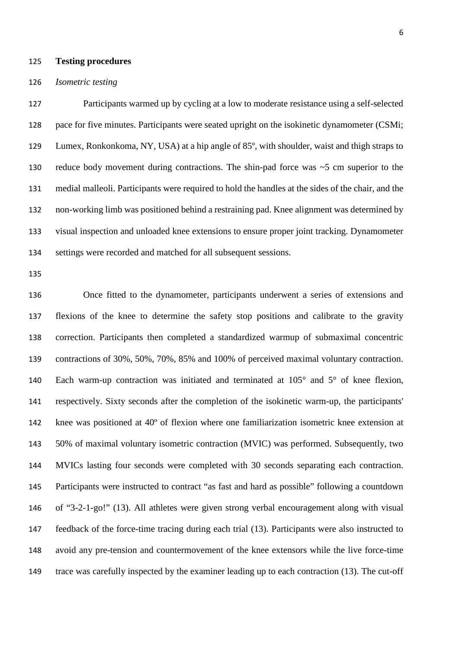#### **Testing procedures**

#### *Isometric testing*

 Participants warmed up by cycling at a low to moderate resistance using a self-selected pace for five minutes. Participants were seated upright on the isokinetic dynamometer (CSMi; Lumex, Ronkonkoma, NY, USA) at a hip angle of 85º, with shoulder, waist and thigh straps to reduce body movement during contractions. The shin-pad force was ~5 cm superior to the medial malleoli. Participants were required to hold the handles at the sides of the chair, and the non-working limb was positioned behind a restraining pad. Knee alignment was determined by visual inspection and unloaded knee extensions to ensure proper joint tracking. Dynamometer settings were recorded and matched for all subsequent sessions.

 Once fitted to the dynamometer, participants underwent a series of extensions and flexions of the knee to determine the safety stop positions and calibrate to the gravity correction. Participants then completed a standardized warmup of submaximal concentric contractions of 30%, 50%, 70%, 85% and 100% of perceived maximal voluntary contraction. Each warm-up contraction was initiated and terminated at 105° and 5° of knee flexion, respectively. Sixty seconds after the completion of the isokinetic warm-up, the participants' knee was positioned at 40º of flexion where one familiarization isometric knee extension at 50% of maximal voluntary isometric contraction (MVIC) was performed. Subsequently, two MVICs lasting four seconds were completed with 30 seconds separating each contraction. Participants were instructed to contract "as fast and hard as possible" following a countdown of "3-2-1-go!" (13). All athletes were given strong verbal encouragement along with visual feedback of the force-time tracing during each trial (13). Participants were also instructed to avoid any pre-tension and countermovement of the knee extensors while the live force-time trace was carefully inspected by the examiner leading up to each contraction (13). The cut-off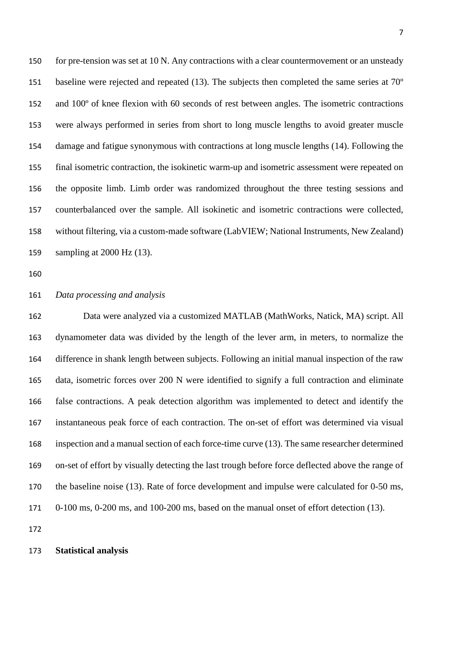for pre-tension was set at 10 N. Any contractions with a clear countermovement or an unsteady baseline were rejected and repeated (13). The subjects then completed the same series at 70º and 100º of knee flexion with 60 seconds of rest between angles. The isometric contractions were always performed in series from short to long muscle lengths to avoid greater muscle damage and fatigue synonymous with contractions at long muscle lengths (14). Following the final isometric contraction, the isokinetic warm-up and isometric assessment were repeated on the opposite limb. Limb order was randomized throughout the three testing sessions and counterbalanced over the sample. All isokinetic and isometric contractions were collected, without filtering, via a custom-made software (LabVIEW; National Instruments, New Zealand) sampling at 2000 Hz (13).

## *Data processing and analysis*

 Data were analyzed via a customized MATLAB (MathWorks, Natick, MA) script. All dynamometer data was divided by the length of the lever arm, in meters, to normalize the difference in shank length between subjects. Following an initial manual inspection of the raw data, isometric forces over 200 N were identified to signify a full contraction and eliminate false contractions. A peak detection algorithm was implemented to detect and identify the instantaneous peak force of each contraction. The on-set of effort was determined via visual inspection and a manual section of each force-time curve (13). The same researcher determined on-set of effort by visually detecting the last trough before force deflected above the range of 170 the baseline noise (13). Rate of force development and impulse were calculated for 0-50 ms, 0-100 ms, 0-200 ms, and 100-200 ms, based on the manual onset of effort detection (13).

#### **Statistical analysis**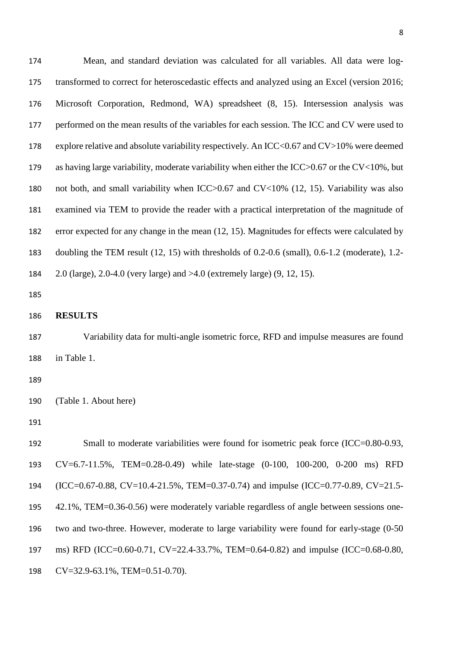| 174 | Mean, and standard deviation was calculated for all variables. All data were log-                    |
|-----|------------------------------------------------------------------------------------------------------|
| 175 | transformed to correct for heteroscedastic effects and analyzed using an Excel (version 2016;        |
| 176 | Microsoft Corporation, Redmond, WA) spreadsheet (8, 15). Intersession analysis was                   |
| 177 | performed on the mean results of the variables for each session. The ICC and CV were used to         |
| 178 | explore relative and absolute variability respectively. An ICC<0.67 and $CV>10\%$ were deemed        |
| 179 | as having large variability, moderate variability when either the ICC $>0.67$ or the CV $<$ 10%, but |
| 180 | not both, and small variability when ICC>0.67 and CV<10% (12, 15). Variability was also              |
| 181 | examined via TEM to provide the reader with a practical interpretation of the magnitude of           |
| 182 | error expected for any change in the mean (12, 15). Magnitudes for effects were calculated by        |
| 183 | doubling the TEM result $(12, 15)$ with thresholds of 0.2-0.6 (small), 0.6-1.2 (moderate), 1.2-      |
| 184 | 2.0 (large), 2.0-4.0 (very large) and $>4.0$ (extremely large) (9, 12, 15).                          |
| 185 |                                                                                                      |
| 186 | <b>RESULTS</b>                                                                                       |
| 187 | Variability data for multi-angle isometric force, RFD and impulse measures are found                 |
| 188 | in Table 1.                                                                                          |
| 189 |                                                                                                      |
| 190 | (Table 1. About here)                                                                                |
| 191 |                                                                                                      |
| 192 | Small to moderate variabilities were found for isometric peak force (ICC=0.80-0.93,                  |
| 193 | CV=6.7-11.5%, TEM=0.28-0.49) while late-stage (0-100, 100-200, 0-200 ms) RFD                         |
| 194 | (ICC=0.67-0.88, CV=10.4-21.5%, TEM=0.37-0.74) and impulse (ICC=0.77-0.89, CV=21.5-                   |
| 195 | 42.1%, TEM=0.36-0.56) were moderately variable regardless of angle between sessions one-             |
| 196 | two and two-three. However, moderate to large variability were found for early-stage (0-50)          |
| 197 | ms) RFD (ICC=0.60-0.71, CV=22.4-33.7%, TEM=0.64-0.82) and impulse (ICC=0.68-0.80,                    |
| 198 | $CV=32.9-63.1\%, TEM=0.51-0.70).$                                                                    |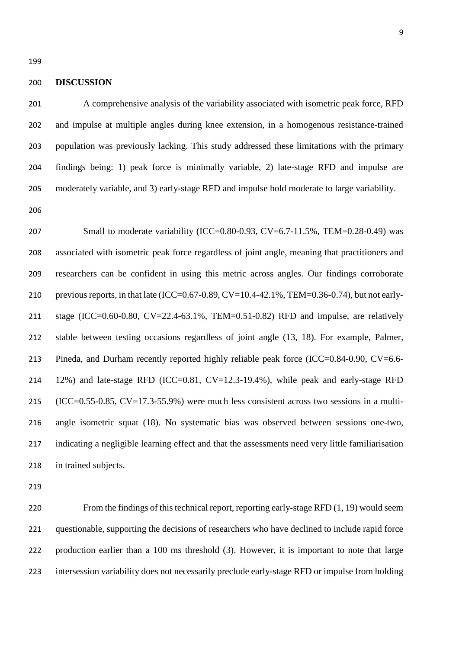#### **DISCUSSION**

 A comprehensive analysis of the variability associated with isometric peak force, RFD and impulse at multiple angles during knee extension, in a homogenous resistance-trained population was previously lacking. This study addressed these limitations with the primary findings being: 1) peak force is minimally variable, 2) late-stage RFD and impulse are moderately variable, and 3) early-stage RFD and impulse hold moderate to large variability.

 Small to moderate variability (ICC=0.80-0.93, CV=6.7-11.5%, TEM=0.28-0.49) was associated with isometric peak force regardless of joint angle, meaning that practitioners and researchers can be confident in using this metric across angles. Our findings corroborate previous reports, in that late (ICC=0.67-0.89, CV=10.4-42.1%, TEM=0.36-0.74), but not early- stage (ICC=0.60-0.80, CV=22.4-63.1%, TEM=0.51-0.82) RFD and impulse, are relatively stable between testing occasions regardless of joint angle (13, 18). For example, Palmer, 213 Pineda, and Durham recently reported highly reliable peak force (ICC=0.84-0.90, CV=6.6- 12%) and late-stage RFD (ICC=0.81, CV=12.3-19.4%), while peak and early-stage RFD (ICC=0.55-0.85, CV=17.3-55.9%) were much less consistent across two sessions in a multi- angle isometric squat (18). No systematic bias was observed between sessions one-two, indicating a negligible learning effect and that the assessments need very little familiarisation in trained subjects.

 From the findings of this technical report, reporting early-stage RFD (1, 19) would seem questionable, supporting the decisions of researchers who have declined to include rapid force production earlier than a 100 ms threshold (3). However, it is important to note that large intersession variability does not necessarily preclude early-stage RFD or impulse from holding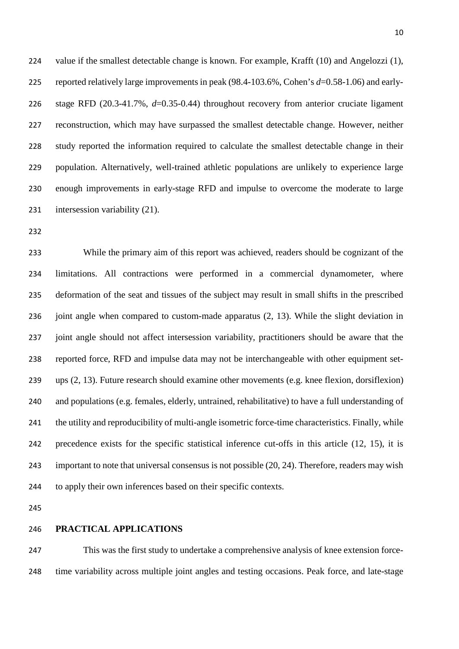224 value if the smallest detectable change is known. For example, Krafft (10) and Angelozzi (1), reported relatively large improvements in peak (98.4-103.6%, Cohen's *d*=0.58-1.06) and early- stage RFD (20.3-41.7%, *d*=0.35-0.44) throughout recovery from anterior cruciate ligament reconstruction, which may have surpassed the smallest detectable change. However, neither study reported the information required to calculate the smallest detectable change in their population. Alternatively, well-trained athletic populations are unlikely to experience large enough improvements in early-stage RFD and impulse to overcome the moderate to large intersession variability (21).

 While the primary aim of this report was achieved, readers should be cognizant of the limitations. All contractions were performed in a commercial dynamometer, where deformation of the seat and tissues of the subject may result in small shifts in the prescribed joint angle when compared to custom-made apparatus (2, 13). While the slight deviation in joint angle should not affect intersession variability, practitioners should be aware that the reported force, RFD and impulse data may not be interchangeable with other equipment set- ups (2, 13). Future research should examine other movements (e.g. knee flexion, dorsiflexion) and populations (e.g. females, elderly, untrained, rehabilitative) to have a full understanding of the utility and reproducibility of multi-angle isometric force-time characteristics. Finally, while precedence exists for the specific statistical inference cut-offs in this article (12, 15), it is important to note that universal consensus is not possible (20, 24). Therefore, readers may wish to apply their own inferences based on their specific contexts.

# **PRACTICAL APPLICATIONS**

 This was the first study to undertake a comprehensive analysis of knee extension force-time variability across multiple joint angles and testing occasions. Peak force, and late-stage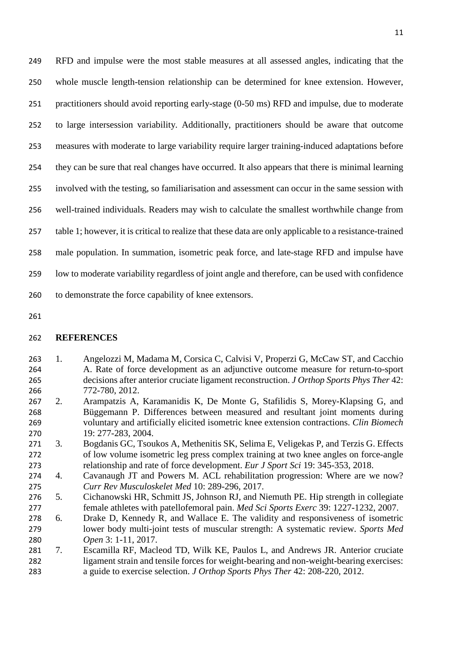RFD and impulse were the most stable measures at all assessed angles, indicating that the whole muscle length-tension relationship can be determined for knee extension. However, practitioners should avoid reporting early-stage (0-50 ms) RFD and impulse, due to moderate to large intersession variability. Additionally, practitioners should be aware that outcome measures with moderate to large variability require larger training-induced adaptations before they can be sure that real changes have occurred. It also appears that there is minimal learning involved with the testing, so familiarisation and assessment can occur in the same session with well-trained individuals. Readers may wish to calculate the smallest worthwhile change from table 1; however, it is critical to realize that these data are only applicable to a resistance-trained male population. In summation, isometric peak force, and late-stage RFD and impulse have low to moderate variability regardless of joint angle and therefore, can be used with confidence to demonstrate the force capability of knee extensors.

## **REFERENCES**

- 1. Angelozzi M, Madama M, Corsica C, Calvisi V, Properzi G, McCaw ST, and Cacchio A. Rate of force development as an adjunctive outcome measure for return-to-sport decisions after anterior cruciate ligament reconstruction. *J Orthop Sports Phys Ther* 42: 772-780, 2012.
- 2. Arampatzis A, Karamanidis K, De Monte G, Stafilidis S, Morey-Klapsing G, and Büggemann P. Differences between measured and resultant joint moments during voluntary and artificially elicited isometric knee extension contractions. *Clin Biomech* 19: 277-283, 2004.
- 3. Bogdanis GC, Tsoukos A, Methenitis SK, Selima E, Veligekas P, and Terzis G. Effects of low volume isometric leg press complex training at two knee angles on force-angle relationship and rate of force development. *Eur J Sport Sci* 19: 345-353, 2018.
- 4. Cavanaugh JT and Powers M. ACL rehabilitation progression: Where are we now? *Curr Rev Musculoskelet Med* 10: 289-296, 2017.
- 5. Cichanowski HR, Schmitt JS, Johnson RJ, and Niemuth PE. Hip strength in collegiate female athletes with patellofemoral pain. *Med Sci Sports Exerc* 39: 1227-1232, 2007.
- 6. Drake D, Kennedy R, and Wallace E. The validity and responsiveness of isometric lower body multi-joint tests of muscular strength: A systematic review. *Sports Med Open* 3: 1-11, 2017.
- 7. Escamilla RF, Macleod TD, Wilk KE, Paulos L, and Andrews JR. Anterior cruciate ligament strain and tensile forces for weight-bearing and non-weight-bearing exercises: a guide to exercise selection. *J Orthop Sports Phys Ther* 42: 208-220, 2012.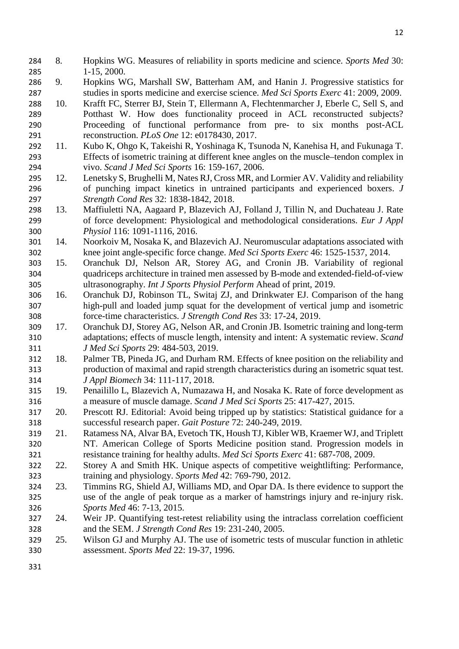- 8. Hopkins WG. Measures of reliability in sports medicine and science. *Sports Med* 30: 1-15, 2000.
- 9. Hopkins WG, Marshall SW, Batterham AM, and Hanin J. Progressive statistics for studies in sports medicine and exercise science. *Med Sci Sports Exerc* 41: 2009, 2009.
- 10. Krafft FC, Sterrer BJ, Stein T, Ellermann A, Flechtenmarcher J, Eberle C, Sell S, and Potthast W. How does functionality proceed in ACL reconstructed subjects? Proceeding of functional performance from pre- to six months post-ACL reconstruction. *PLoS One* 12: e0178430, 2017.
- 11. Kubo K, Ohgo K, Takeishi R, Yoshinaga K, Tsunoda N, Kanehisa H, and Fukunaga T. Effects of isometric training at different knee angles on the muscle–tendon complex in vivo. *Scand J Med Sci Sports* 16: 159-167, 2006.
- 12. Lenetsky S, Brughelli M, Nates RJ, Cross MR, and Lormier AV. Validity and reliability of punching impact kinetics in untrained participants and experienced boxers. *J Strength Cond Res* 32: 1838-1842, 2018.
- 13. Maffiuletti NA, Aagaard P, Blazevich AJ, Folland J, Tillin N, and Duchateau J. Rate of force development: Physiological and methodological considerations. *Eur J Appl Physiol* 116: 1091-1116, 2016.
- 14. Noorkoiv M, Nosaka K, and Blazevich AJ. Neuromuscular adaptations associated with knee joint angle-specific force change. *Med Sci Sports Exerc* 46: 1525-1537, 2014.
- 15. Oranchuk DJ, Nelson AR, Storey AG, and Cronin JB. Variability of regional quadriceps architecture in trained men assessed by B-mode and extended-field-of-view ultrasonography. *Int J Sports Physiol Perform* Ahead of print, 2019.
- 16. Oranchuk DJ, Robinson TL, Switaj ZJ, and Drinkwater EJ. Comparison of the hang high-pull and loaded jump squat for the development of vertical jump and isometric force-time characteristics. *J Strength Cond Res* 33: 17-24, 2019.
- 17. Oranchuk DJ, Storey AG, Nelson AR, and Cronin JB. Isometric training and long-term adaptations; effects of muscle length, intensity and intent: A systematic review. *Scand J Med Sci Sports* 29: 484-503, 2019.
- 18. Palmer TB, Pineda JG, and Durham RM. Effects of knee position on the reliability and production of maximal and rapid strength characteristics during an isometric squat test. *J Appl Biomech* 34: 111-117, 2018.
- 19. Penailillo L, Blazevich A, Numazawa H, and Nosaka K. Rate of force development as a measure of muscle damage. *Scand J Med Sci Sports* 25: 417-427, 2015.
- 20. Prescott RJ. Editorial: Avoid being tripped up by statistics: Statistical guidance for a successful research paper. *Gait Posture* 72: 240-249, 2019.
- 21. Ratamess NA, Alvar BA, Evetoch TK, Housh TJ, Kibler WB, Kraemer WJ, and Triplett NT. American College of Sports Medicine position stand. Progression models in resistance training for healthy adults. *Med Sci Sports Exerc* 41: 687-708, 2009.
- 22. Storey A and Smith HK. Unique aspects of competitive weightlifting: Performance, training and physiology. *Sports Med* 42: 769-790, 2012.
- 23. Timmins RG, Shield AJ, Williams MD, and Opar DA. Is there evidence to support the use of the angle of peak torque as a marker of hamstrings injury and re-injury risk. *Sports Med* 46: 7-13, 2015.
- 24. Weir JP. Quantifying test-retest reliability using the intraclass correlation coefficient and the SEM. *J Strength Cond Res* 19: 231-240, 2005.
- 25. Wilson GJ and Murphy AJ. The use of isometric tests of muscular function in athletic assessment. *Sports Med* 22: 19-37, 1996.
-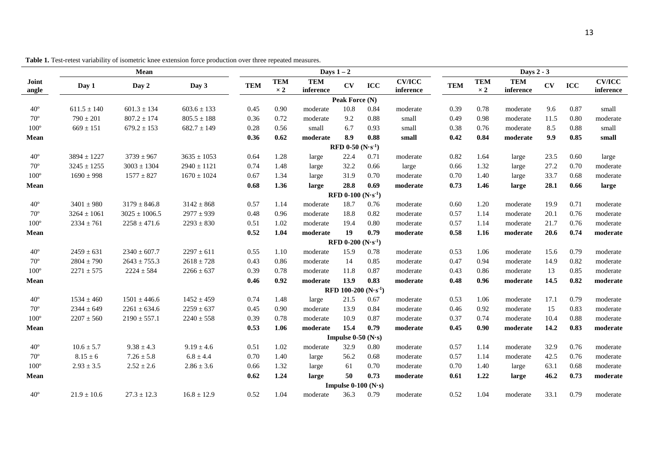|                | Mean            |                   |                 |            | Days $1-2$               |                         |                                     |      |                            |            | Days 2 - 3               |                         |      |      |                            |  |  |
|----------------|-----------------|-------------------|-----------------|------------|--------------------------|-------------------------|-------------------------------------|------|----------------------------|------------|--------------------------|-------------------------|------|------|----------------------------|--|--|
| Joint<br>angle | Day 1           | Day 2             | Day 3           | <b>TEM</b> | <b>TEM</b><br>$\times 2$ | <b>TEM</b><br>inference | <b>CV</b>                           | ICC  | <b>CV/ICC</b><br>inference | <b>TEM</b> | <b>TEM</b><br>$\times 2$ | <b>TEM</b><br>inference | CV   | ICC  | <b>CV/ICC</b><br>inference |  |  |
|                |                 |                   |                 |            |                          |                         | Peak Force (N)                      |      |                            |            |                          |                         |      |      |                            |  |  |
| $40^{\circ}$   | $611.5 \pm 140$ | $601.3 \pm 134$   | $603.6 \pm 133$ | 0.45       | 0.90                     | moderate                | 10.8                                | 0.84 | moderate                   | 0.39       | 0.78                     | moderate                | 9.6  | 0.87 | small                      |  |  |
| $70^{\circ}$   | $790 \pm 201$   | $807.2 \pm 174$   | $805.5 \pm 188$ | 0.36       | 0.72                     | moderate                | 9.2                                 | 0.88 | small                      | 0.49       | 0.98                     | moderate                | 11.5 | 0.80 | moderate                   |  |  |
| $100^{\circ}$  | $669 \pm 151$   | $679.2 \pm 153$   | $682.7 \pm 149$ | 0.28       | 0.56                     | small                   | 6.7                                 | 0.93 | small                      | 0.38       | 0.76                     | moderate                | 8.5  | 0.88 | small                      |  |  |
| Mean           |                 |                   |                 | 0.36       | 0.62                     | moderate                | 8.9                                 | 0.88 | small                      | 0.42       | 0.84                     | moderate                | 9.9  | 0.85 | small                      |  |  |
|                |                 |                   |                 |            |                          |                         | <b>RFD 0-50 (N·s<sup>-1</sup>)</b>  |      |                            |            |                          |                         |      |      |                            |  |  |
| $40^{\circ}$   | $3894 \pm 1227$ | $3739 \pm 967$    | $3635 \pm 1053$ | 0.64       | 1.28                     | large                   | 22.4                                | 0.71 | moderate                   | 0.82       | 1.64                     | large                   | 23.5 | 0.60 | large                      |  |  |
| $70^{\circ}$   | $3245 \pm 1255$ | $3003 \pm 1304$   | $2940 \pm 1121$ | 0.74       | 1.48                     | large                   | 32.2                                | 0.66 | large                      | 0.66       | 1.32                     | large                   | 27.2 | 0.70 | moderate                   |  |  |
| $100^{\circ}$  | $1690 \pm 998$  | $1577 \pm 827$    | $1670 \pm 1024$ | 0.67       | 1.34                     | large                   | 31.9                                | 0.70 | moderate                   | 0.70       | 1.40                     | large                   | 33.7 | 0.68 | moderate                   |  |  |
| Mean           |                 |                   |                 | 0.68       | 1.36                     | large                   | 28.8                                | 0.69 | moderate                   | 0.73       | 1.46                     | large                   | 28.1 | 0.66 | large                      |  |  |
|                |                 |                   |                 |            |                          |                         | <b>RFD 0-100 (N·s<sup>-1</sup>)</b> |      |                            |            |                          |                         |      |      |                            |  |  |
| $40^{\circ}$   | $3401 \pm 980$  | $3179 \pm 846.8$  | $3142 \pm 868$  | 0.57       | 1.14                     | moderate                | 18.7                                | 0.76 | moderate                   | 0.60       | 1.20                     | moderate                | 19.9 | 0.71 | moderate                   |  |  |
| $70^{\circ}$   | $3264 \pm 1061$ | $3025 \pm 1006.5$ | $2977 \pm 939$  | 0.48       | 0.96                     | moderate                | 18.8                                | 0.82 | moderate                   | 0.57       | 1.14                     | moderate                | 20.1 | 0.76 | moderate                   |  |  |
| $100^{\circ}$  | $2334 \pm 761$  | $2258 \pm 471.6$  | $2293 \pm 830$  | 0.51       | 1.02                     | moderate                | 19.4                                | 0.80 | moderate                   | 0.57       | 1.14                     | moderate                | 21.7 | 0.76 | moderate                   |  |  |
| Mean           |                 |                   |                 | 0.52       | 1.04                     | moderate                | 19                                  | 0.79 | moderate                   | 0.58       | 1.16                     | $\bf{moderate}$         | 20.6 | 0.74 | moderate                   |  |  |
|                |                 |                   |                 |            |                          |                         | <b>RFD 0-200 (N·s<sup>-1</sup>)</b> |      |                            |            |                          |                         |      |      |                            |  |  |
| $40^{\circ}$   | $2459 \pm 631$  | $2340 \pm 607.7$  | $2297 \pm 611$  | 0.55       | 1.10                     | moderate                | 15.9                                | 0.78 | moderate                   | 0.53       | 1.06                     | moderate                | 15.6 | 0.79 | moderate                   |  |  |
| $70^{\circ}$   | $2804 \pm 790$  | $2643 \pm 755.3$  | $2618 \pm 728$  | 0.43       | 0.86                     | moderate                | 14                                  | 0.85 | moderate                   | 0.47       | 0.94                     | moderate                | 14.9 | 0.82 | moderate                   |  |  |
| $100^{\circ}$  | $2271 \pm 575$  | $2224 \pm 584$    | $2266 \pm 637$  | 0.39       | 0.78                     | moderate                | 11.8                                | 0.87 | moderate                   | 0.43       | 0.86                     | moderate                | 13   | 0.85 | moderate                   |  |  |
| Mean           |                 |                   |                 | 0.46       | 0.92                     | moderate                | 13.9                                | 0.83 | moderate                   | 0.48       | 0.96                     | moderate                | 14.5 | 0.82 | moderate                   |  |  |
|                |                 |                   |                 |            |                          |                         | RFD 100-200 $(N \cdot s^{-1})$      |      |                            |            |                          |                         |      |      |                            |  |  |
| $40^{\circ}$   | $1534 \pm 460$  | $1501 \pm 446.6$  | $1452 \pm 459$  | 0.74       | 1.48                     | large                   | 21.5                                | 0.67 | moderate                   | 0.53       | 1.06                     | moderate                | 17.1 | 0.79 | moderate                   |  |  |
| $70^{\circ}$   | $2344 \pm 649$  | $2261 \pm 634.6$  | $2259 \pm 637$  | 0.45       | 0.90                     | moderate                | 13.9                                | 0.84 | moderate                   | 0.46       | 0.92                     | moderate                | 15   | 0.83 | moderate                   |  |  |
| $100^{\circ}$  | $2207 \pm 560$  | $2190 \pm 557.1$  | $2240 \pm 558$  | 0.39       | 0.78                     | moderate                | 10.9                                | 0.87 | moderate                   | 0.37       | 0.74                     | moderate                | 10.4 | 0.88 | moderate                   |  |  |
| Mean           |                 |                   |                 | 0.53       | 1.06                     | moderate                | 15.4                                | 0.79 | moderate                   | 0.45       | 0.90                     | moderate                | 14.2 | 0.83 | moderate                   |  |  |
|                |                 |                   |                 |            |                          |                         | Impulse $0-50$ (N·s)                |      |                            |            |                          |                         |      |      |                            |  |  |
| $40^{\circ}$   | $10.6 \pm 5.7$  | $9.38 \pm 4.3$    | $9.19 \pm 4.6$  | 0.51       | 1.02                     | moderate                | 32.9                                | 0.80 | moderate                   | 0.57       | 1.14                     | moderate                | 32.9 | 0.76 | moderate                   |  |  |
| $70^{\circ}$   | $8.15 \pm 6$    | $7.26 \pm 5.8$    | $6.8 \pm 4.4$   | 0.70       | 1.40                     | large                   | 56.2                                | 0.68 | moderate                   | 0.57       | 1.14                     | moderate                | 42.5 | 0.76 | moderate                   |  |  |
| $100^{\circ}$  | $2.93 \pm 3.5$  | $2.52 \pm 2.6$    | $2.86 \pm 3.6$  | 0.66       | 1.32                     | large                   | 61                                  | 0.70 | moderate                   | 0.70       | 1.40                     | large                   | 63.1 | 0.68 | moderate                   |  |  |
| Mean           |                 |                   |                 | 0.62       | 1.24                     | large                   | 50                                  | 0.73 | moderate                   | 0.61       | 1.22                     | large                   | 46.2 | 0.73 | moderate                   |  |  |
|                |                 |                   |                 |            |                          |                         | Impulse $0-100$ (N·s)               |      |                            |            |                          |                         |      |      |                            |  |  |
| $40^{\circ}$   | $21.9 \pm 10.6$ | $27.3 \pm 12.3$   | $16.8 \pm 12.9$ | 0.52       | 1.04                     | moderate                | 36.3                                | 0.79 | moderate                   | 0.52       | 1.04                     | moderate                | 33.1 | 0.79 | moderate                   |  |  |

**Table 1.** Test-retest variability of isometric knee extension force production over three repeated measures.